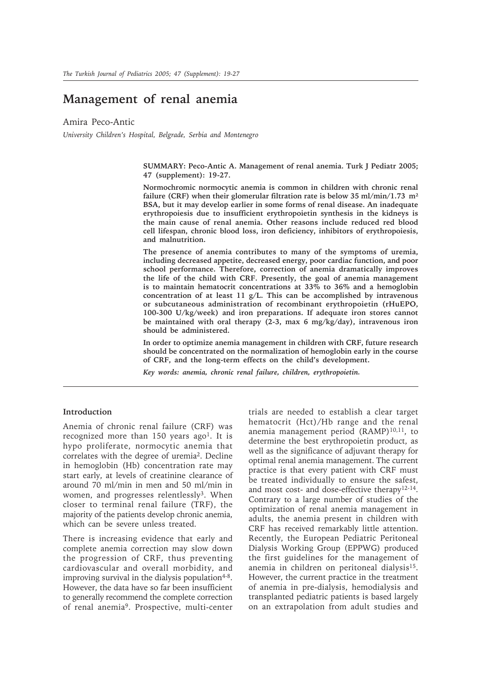# **Management of renal anemia**

Amira Peco-Antic

*University Children's Hospital, Belgrade, Serbia and Montenegro*

**SUMMARY: Peco-Antic A. Management of renal anemia. Turk J Pediatr 2005; 47 (supplement): 19-27.**

**Normochromic normocytic anemia is common in children with chronic renal failure (CRF) when their glomerular filtration rate is below 35 ml/min/1.73 m² BSA, but it may develop earlier in some forms of renal disease. An inadequate erythropoiesis due to insufficient erythropoietin synthesis in the kidneys is the main cause of renal anemia. Other reasons include reduced red blood cell lifespan, chronic blood loss, iron deficiency, inhibitors of erythropoiesis, and malnutrition.**

**The presence of anemia contributes to many of the symptoms of uremia, including decreased appetite, decreased energy, poor cardiac function, and poor school performance. Therefore, correction of anemia dramatically improves the life of the child with CRF. Presently, the goal of anemia management is to maintain hematocrit concentrations at 33% to 36% and a hemoglobin concentration of at least 11 g/L. This can be accomplished by intravenous or subcutaneous administration of recombinant erythropoietin (rHuEPO, 100-300 U/kg/week) and iron preparations. If adequate iron stores cannot be maintained with oral therapy (2-3, max 6 mg/kg/day), intravenous iron should be administered.**

**In order to optimize anemia management in children with CRF, future research should be concentrated on the normalization of hemoglobin early in the course of CRF, and the long-term effects on the child's development.**

*Key words: anemia, chronic renal failure, children, erythropoietin.*

# **Introduction**

Anemia of chronic renal failure (CRF) was recognized more than 150 years ago<sup>1</sup>. It is hypo proliferate, normocytic anemia that correlates with the degree of uremia2. Decline in hemoglobin (Hb) concentration rate may start early, at levels of creatinine clearance of around 70 ml/min in men and 50 ml/min in women, and progresses relentlessly<sup>3</sup>. When closer to terminal renal failure (TRF), the majority of the patients develop chronic anemia, which can be severe unless treated.

There is increasing evidence that early and complete anemia correction may slow down the progression of CRF, thus preventing cardiovascular and overall morbidity, and improving survival in the dialysis population $4-8$ . However, the data have so far been insufficient to generally recommend the complete correction of renal anemia9. Prospective, multi-center trials are needed to establish a clear target hematocrit (Hct)/Hb range and the renal anemia management period (RAMP)<sup>10,11</sup>, to determine the best erythropoietin product, as well as the significance of adjuvant therapy for optimal renal anemia management. The current practice is that every patient with CRF must be treated individually to ensure the safest, and most cost- and dose-effective therapy12-14. Contrary to a large number of studies of the optimization of renal anemia management in adults, the anemia present in children with CRF has received remarkably little attention. Recently, the European Pediatric Peritoneal Dialysis Working Group (EPPWG) produced the first guidelines for the management of anemia in children on peritoneal dialysis<sup>15</sup>. However, the current practice in the treatment of anemia in pre-dialysis, hemodialysis and transplanted pediatric patients is based largely on an extrapolation from adult studies and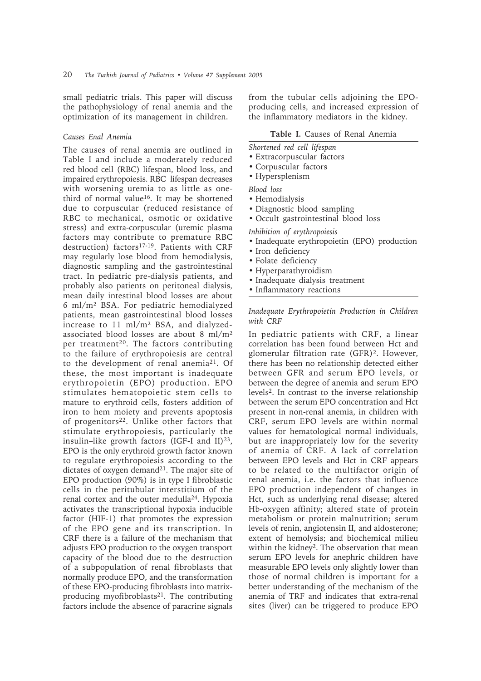small pediatric trials. This paper will discuss the pathophysiology of renal anemia and the optimization of its management in children.

# *Causes Enal Anemia*

The causes of renal anemia are outlined in Table I and include a moderately reduced red blood cell (RBC) lifespan, blood loss, and impaired erythropoiesis. RBC lifespan decreases with worsening uremia to as little as onethird of normal value16. It may be shortened due to corpuscular (reduced resistance of RBC to mechanical, osmotic or oxidative stress) and extra-corpuscular (uremic plasma factors may contribute to premature RBC destruction) factors<sup>17-19</sup>. Patients with CRF may regularly lose blood from hemodialysis, diagnostic sampling and the gastrointestinal tract. In pediatric pre-dialysis patients, and probably also patients on peritoneal dialysis, mean daily intestinal blood losses are about 6 ml/m² BSA. For pediatric hemodialyzed patients, mean gastrointestinal blood losses increase to 11 ml/m² BSA, and dialyzedassociated blood losses are about 8 ml/m² per treatment<sup>20</sup>. The factors contributing to the failure of erythropoiesis are central to the development of renal anemia21. Of these, the most important is inadequate erythropoietin (EPO) production. EPO stimulates hematopoietic stem cells to mature to erythroid cells, fosters addition of iron to hem moiety and prevents apoptosis of progenitors<sup>22</sup>. Unlike other factors that stimulate erythropoiesis, particularly the insulin–like growth factors (IGF-I and II) $^{23}$ , EPO is the only erythroid growth factor known to regulate erythropoiesis according to the dictates of oxygen demand<sup>21</sup>. The major site of EPO production (90%) is in type I fibroblastic cells in the peritubular interstitium of the renal cortex and the outer medulla24. Hypoxia activates the transcriptional hypoxia inducible factor (HIF-1) that promotes the expression of the EPO gene and its transcription. In CRF there is a failure of the mechanism that adjusts EPO production to the oxygen transport capacity of the blood due to the destruction of a subpopulation of renal fibroblasts that normally produce EPO, and the transformation of these EPO-producing fibroblasts into matrixproducing myofibroblasts<sup>21</sup>. The contributing factors include the absence of paracrine signals

from the tubular cells adjoining the EPOproducing cells, and increased expression of the inflammatory mediators in the kidney.

### **Table I.** Causes of Renal Anemia

*Shortened red cell lifespan*

- Extracorpuscular factors
- Corpuscular factors
- Hypersplenism

*Blood loss*

- Hemodialysis
- Diagnostic blood sampling
- Occult gastrointestinal blood loss

*Inhibition of erythropoiesis*

- Inadequate erythropoietin (EPO) production
- Iron deficiency
- Folate deficiency
- Hyperparathyroidism
- Inadequate dialysis treatment
- Inflammatory reactions

# *Inadequate Erythropoietin Production in Children with CRF*

In pediatric patients with CRF, a linear correlation has been found between Hct and glomerular filtration rate (GFR)2. However, there has been no relationship detected either between GFR and serum EPO levels, or between the degree of anemia and serum EPO levels2. In contrast to the inverse relationship between the serum EPO concentration and Hct present in non-renal anemia, in children with CRF, serum EPO levels are within normal values for hematological normal individuals, but are inappropriately low for the severity of anemia of CRF. A lack of correlation between EPO levels and Hct in CRF appears to be related to the multifactor origin of renal anemia, i.e. the factors that influence EPO production independent of changes in Hct, such as underlying renal disease; altered Hb-oxygen affinity; altered state of protein metabolism or protein malnutrition; serum levels of renin, angiotensin II, and aldosterone; extent of hemolysis; and biochemical milieu within the kidney<sup>2</sup>. The observation that mean serum EPO levels for anephric children have measurable EPO levels only slightly lower than those of normal children is important for a better understanding of the mechanism of the anemia of TRF and indicates that extra-renal sites (liver) can be triggered to produce EPO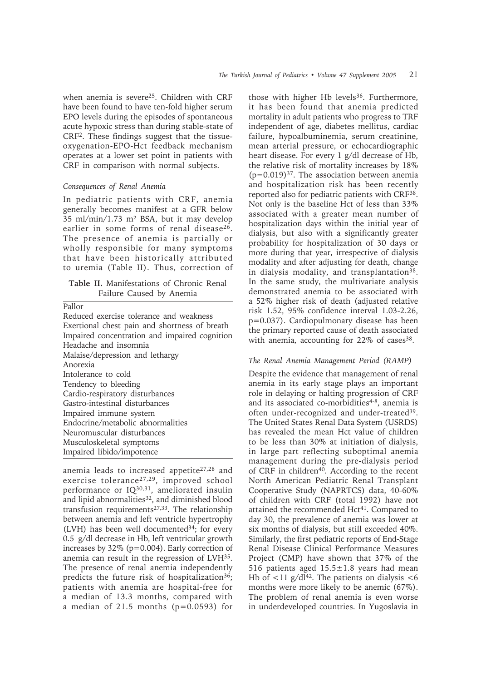when anemia is severe<sup>25</sup>. Children with CRF have been found to have ten-fold higher serum EPO levels during the episodes of spontaneous acute hypoxic stress than during stable-state of CRF2. These findings suggest that the tissueoxygenation-EPO-Hct feedback mechanism operates at a lower set point in patients with CRF in comparison with normal subjects.

# *Consequences of Renal Anemia*

In pediatric patients with CRF, anemia generally becomes manifest at a GFR below 35 ml/min/1.73 m² BSA, but it may develop earlier in some forms of renal disease<sup>26</sup>. The presence of anemia is partially or wholly responsible for many symptoms that have been historically attributed to uremia (Table II). Thus, correction of

**Table II.** Manifestations of Chronic Renal Failure Caused by Anemia

| Pallor                                        |
|-----------------------------------------------|
| Reduced exercise tolerance and weakness       |
| Exertional chest pain and shortness of breath |
| Impaired concentration and impaired cognition |
| Headache and insomnia                         |
| Malaise/depression and lethargy               |
| Anorexia                                      |
| Intolerance to cold                           |
| Tendency to bleeding                          |
| Cardio-respiratory disturbances               |
| Gastro-intestinal disturbances                |
| Impaired immune system                        |
| Endocrine/metabolic abnormalities             |
| Neuromuscular disturbances                    |
| Musculoskeletal symptoms                      |
| Impaired libido/impotence                     |

anemia leads to increased appetite<sup>27,28</sup> and exercise tolerance27,29, improved school performance or IQ30,31, ameliorated insulin and lipid abnormalities<sup>32</sup>, and diminished blood transfusion requirements<sup>27,33</sup>. The relationship between anemia and left ventricle hypertrophy (LVH) has been well documented $34$ ; for every 0.5 g/dl decrease in Hb, left ventricular growth increases by 32% (p=0.004). Early correction of anemia can result in the regression of LVH35. The presence of renal anemia independently predicts the future risk of hospitalization<sup>36</sup>; patients with anemia are hospital-free for a median of 13.3 months, compared with a median of 21.5 months  $(p=0.0593)$  for

those with higher Hb levels<sup>36</sup>. Furthermore, it has been found that anemia predicted mortality in adult patients who progress to TRF independent of age, diabetes mellitus, cardiac failure, hypoalbuminemia, serum creatinine, mean arterial pressure, or echocardiographic heart disease. For every 1 g/dl decrease of Hb, the relative risk of mortality increases by 18%  $(p=0.019)^{37}$ . The association between anemia and hospitalization risk has been recently reported also for pediatric patients with CRF38. Not only is the baseline Hct of less than 33% associated with a greater mean number of hospitalization days within the initial year of dialysis, but also with a significantly greater probability for hospitalization of 30 days or more during that year, irrespective of dialysis modality and after adjusting for death, change in dialysis modality, and transplantation<sup>38</sup>. In the same study, the multivariate analysis demonstrated anemia to be associated with a 52% higher risk of death (adjusted relative risk 1.52, 95% confidence interval 1.03-2.26, p=0.037). Cardiopulmonary disease has been the primary reported cause of death associated with anemia, accounting for  $22\%$  of cases<sup>38</sup>.

# *The Renal Anemia Management Period (RAMP)*

Despite the evidence that management of renal anemia in its early stage plays an important role in delaying or halting progression of CRF and its associated co-morbidities<sup>4-8</sup>, anemia is often under-recognized and under-treated<sup>39</sup>. The United States Renal Data System (USRDS) has revealed the mean Hct value of children to be less than 30% at initiation of dialysis, in large part reflecting suboptimal anemia management during the pre-dialysis period of CRF in children<sup>40</sup>. According to the recent North American Pediatric Renal Transplant Cooperative Study (NAPRTCS) data, 40-60% of children with CRF (total 1992) have not attained the recommended Hct<sup>41</sup>. Compared to day 30, the prevalence of anemia was lower at six months of dialysis, but still exceeded 40%. Similarly, the first pediatric reports of End-Stage Renal Disease Clinical Performance Measures Project (CMP) have shown that 37% of the 516 patients aged  $15.5 \pm 1.8$  years had mean Hb of  $\langle 11 \text{ g}/\text{d} \mathbf{l}^{42}$ . The patients on dialysis  $\langle 6 \rangle$ months were more likely to be anemic (67%). The problem of renal anemia is even worse in underdeveloped countries. In Yugoslavia in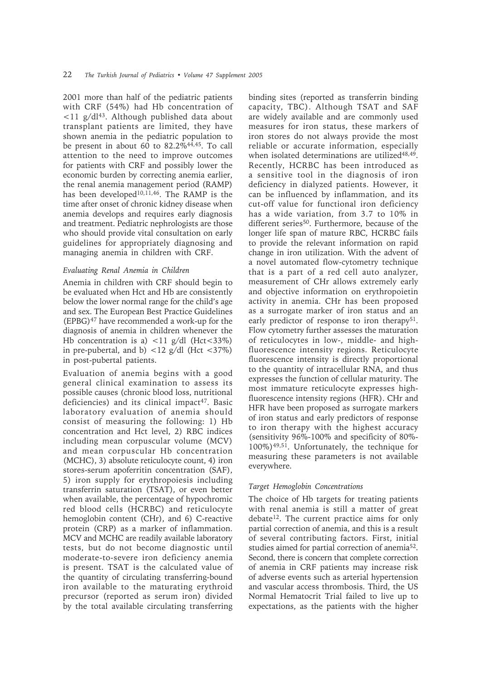2001 more than half of the pediatric patients with CRF (54%) had Hb concentration of  $\langle 11 \text{ g}/\text{d} \mathbf{l}^{43}$ . Although published data about transplant patients are limited, they have shown anemia in the pediatric population to be present in about 60 to 82.2% $44,45$ . To call attention to the need to improve outcomes for patients with CRF and possibly lower the economic burden by correcting anemia earlier, the renal anemia management period (RAMP) has been developed<sup>10,11,46</sup>. The RAMP is the time after onset of chronic kidney disease when anemia develops and requires early diagnosis and treatment. Pediatric nephrologists are those who should provide vital consultation on early guidelines for appropriately diagnosing and managing anemia in children with CRF.

# *Evaluating Renal Anemia in Children*

Anemia in children with CRF should begin to be evaluated when Hct and Hb are consistently below the lower normal range for the child's age and sex. The European Best Practice Guidelines  $(EPBG)^{47}$  have recommended a work-up for the diagnosis of anemia in children whenever the Hb concentration is a)  $\langle 11 \text{ g/d} \rangle$  (Hct $\langle 33\% \rangle$ ) in pre-pubertal, and b)  $\langle 12 \text{ g}/\text{d} \rangle$  (Hct  $\langle 37\% \rangle$ ) in post-pubertal patients.

Evaluation of anemia begins with a good general clinical examination to assess its possible causes (chronic blood loss, nutritional deficiencies) and its clinical impact<sup>47</sup>. Basic laboratory evaluation of anemia should consist of measuring the following: 1) Hb concentration and Hct level, 2) RBC indices including mean corpuscular volume (MCV) and mean corpuscular Hb concentration (MCHC), 3) absolute reticulocyte count, 4) iron stores-serum apoferritin concentration (SAF), 5) iron supply for erythropoiesis including transferrin saturation (TSAT), or even better when available, the percentage of hypochromic red blood cells (HCRBC) and reticulocyte hemoglobin content (CHr), and 6) C-reactive protein (CRP) as a marker of inflammation. MCV and MCHC are readily available laboratory tests, but do not become diagnostic until moderate-to-severe iron deficiency anemia is present. TSAT is the calculated value of the quantity of circulating transferring-bound iron available to the maturating erythroid precursor (reported as serum iron) divided by the total available circulating transferring

binding sites (reported as transferrin binding capacity, TBC). Although TSAT and SAF are widely available and are commonly used measures for iron status, these markers of iron stores do not always provide the most reliable or accurate information, especially when isolated determinations are utilized<sup>48,49</sup>. Recently, HCRBC has been introduced as a sensitive tool in the diagnosis of iron deficiency in dialyzed patients. However, it can be influenced by inflammation, and its cut-off value for functional iron deficiency has a wide variation, from 3.7 to 10% in different series<sup>50</sup>. Furthermore, because of the longer life span of mature RBC, HCRBC fails to provide the relevant information on rapid change in iron utilization. With the advent of a novel automated flow-cytometry technique that is a part of a red cell auto analyzer, measurement of CHr allows extremely early and objective information on erythropoietin activity in anemia. CHr has been proposed as a surrogate marker of iron status and an early predictor of response to iron therapy<sup>51</sup>. Flow cytometry further assesses the maturation of reticulocytes in low-, middle- and highfluorescence intensity regions. Reticulocyte fluorescence intensity is directly proportional to the quantity of intracellular RNA, and thus expresses the function of cellular maturity. The most immature reticulocyte expresses highfluorescence intensity regions (HFR). CHr and HFR have been proposed as surrogate markers of iron status and early predictors of response to iron therapy with the highest accuracy (sensitivity 96%-100% and specificity of 80%- 100%)49,51. Unfortunately, the technique for measuring these parameters is not available everywhere.

### *Target Hemoglobin Concentrations*

The choice of Hb targets for treating patients with renal anemia is still a matter of great debate12. The current practice aims for only partial correction of anemia, and this is a result of several contributing factors. First, initial studies aimed for partial correction of anemia52. Second, there is concern that complete correction of anemia in CRF patients may increase risk of adverse events such as arterial hypertension and vascular access thrombosis. Third, the US Normal Hematocrit Trial failed to live up to expectations, as the patients with the higher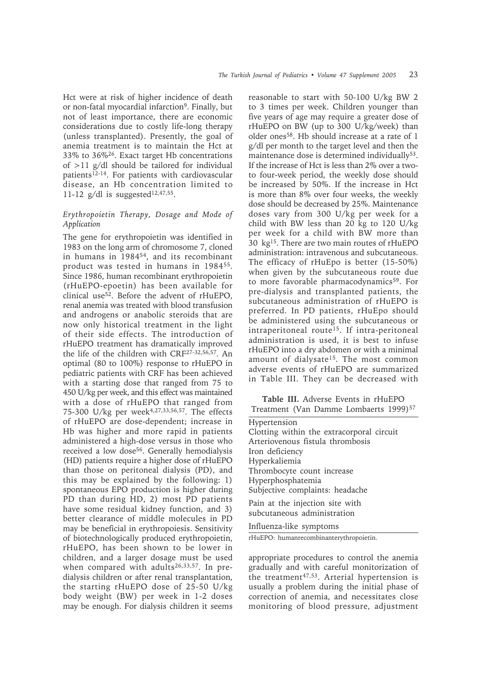Hct were at risk of higher incidence of death or non-fatal myocardial infarction<sup>9</sup>. Finally, but not of least importance, there are economic considerations due to costly life-long therapy (unless transplanted). Presently, the goal of anemia treatment is to maintain the Hct at 33% to 36%26. Exact target Hb concentrations of >11 g/dl should be tailored for individual patients<sup>12-14</sup>. For patients with cardiovascular disease, an Hb concentration limited to 11-12 g/dl is suggested<sup>12,47,55</sup>.

# *Erythropoietin Therapy, Dosage and Mode of Application*

The gene for erythropoietin was identified in 1983 on the long arm of chromosome 7, cloned in humans in 198454, and its recombinant product was tested in humans in 198455. Since 1986, human recombinant erythropoietin (rHuEPO-epoetin) has been available for clinical use52. Before the advent of rHuEPO, renal anemia was treated with blood transfusion and androgens or anabolic steroids that are now only historical treatment in the light of their side effects. The introduction of rHuEPO treatment has dramatically improved the life of the children with CRF27-32,56,57. An optimal (80 to 100%) response to rHuEPO in pediatric patients with CRF has been achieved with a starting dose that ranged from 75 to 450 U/kg per week, and this effect was maintained with a dose of rHuEPO that ranged from 75-300 U/kg per week<sup>4,27,33,56,57</sup>. The effects of rHuEPO are dose-dependent; increase in Hb was higher and more rapid in patients administered a high-dose versus in those who received a low dose<sup>56</sup>. Generally hemodialysis (HD) patients require a higher dose of rHuEPO than those on peritoneal dialysis (PD), and this may be explained by the following: 1) spontaneous EPO production is higher during PD than during HD, 2) most PD patients have some residual kidney function, and 3) better clearance of middle molecules in PD may be beneficial in erythropoiesis. Sensitivity of biotechnologically produced erythropoietin, rHuEPO, has been shown to be lower in children, and a larger dosage must be used when compared with adults<sup>26,33,57</sup>. In predialysis children or after renal transplantation, the starting rHuEPO dose of 25-50 U/kg body weight (BW) per week in 1-2 doses may be enough. For dialysis children it seems

reasonable to start with 50-100 U/kg BW 2 to 3 times per week. Children younger than five years of age may require a greater dose of rHuEPO on BW (up to 300 U/kg/week) than older ones58. Hb should increase at a rate of 1 g/dl per month to the target level and then the maintenance dose is determined individually<sup>53</sup>. If the increase of Hct is less than 2% over a twoto four-week period, the weekly dose should be increased by 50%. If the increase in Hct is more than 8% over four weeks, the weekly dose should be decreased by 25%. Maintenance doses vary from 300 U/kg per week for a child with BW less than 20 kg to 120 U/kg per week for a child with BW more than 30 kg15. There are two main routes of rHuEPO administration: intravenous and subcutaneous. The efficacy of rHuEpo is better (15-50%) when given by the subcutaneous route due to more favorable pharmacodynamics<sup>59</sup>. For pre-dialysis and transplanted patients, the subcutaneous administration of rHuEPO is preferred. In PD patients, rHuEpo should be administered using the subcutaneous or intraperitoneal route<sup>15</sup>. If intra-peritoneal administration is used, it is best to infuse rHuEPO into a dry abdomen or with a minimal amount of dialysate<sup>15</sup>. The most common adverse events of rHuEPO are summarized in Table III. They can be decreased with

**Table III.** Adverse Events in rHuEPO Treatment (Van Damme Lombaerts 1999)<sup>57</sup>

Hypertension Clotting within the extracorporal circuit Arteriovenous fistula thrombosis Iron deficiency Hyperkaliemia Thrombocyte count increase Hyperphosphatemia Subjective complaints: headache Pain at the injection site with subcutaneous administration Influenza-like symptoms

rHuEPO: humanrecombinanterythropoietin.

appropriate procedures to control the anemia gradually and with careful monitorization of the treatment<sup>47,53</sup>. Arterial hypertension is usually a problem during the initial phase of correction of anemia, and necessitates close monitoring of blood pressure, adjustment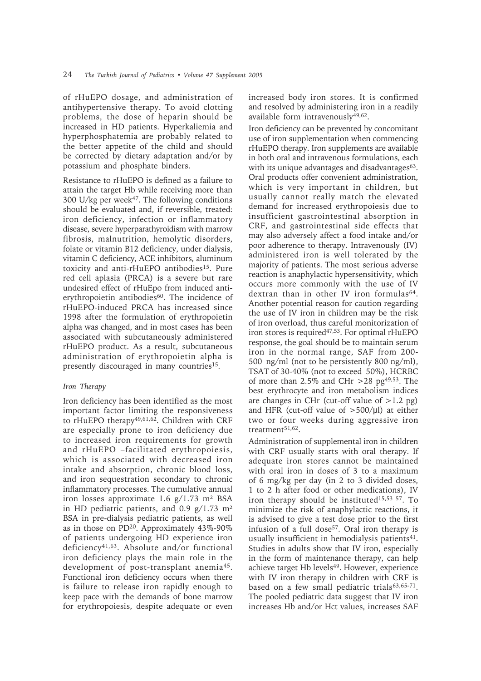of rHuEPO dosage, and administration of antihypertensive therapy. To avoid clotting problems, the dose of heparin should be increased in HD patients. Hyperkaliemia and hyperphosphatemia are probably related to the better appetite of the child and should be corrected by dietary adaptation and/or by potassium and phosphate binders.

Resistance to rHuEPO is defined as a failure to attain the target Hb while receiving more than 300 U/kg per week<sup>47</sup>. The following conditions should be evaluated and, if reversible, treated: iron deficiency, infection or inflammatory disease, severe hyperparathyroidism with marrow fibrosis, malnutrition, hemolytic disorders, folate or vitamin B12 deficiency, under dialysis, vitamin C deficiency, ACE inhibitors, aluminum toxicity and anti-rHuEPO antibodies<sup>15</sup>. Pure red cell aplasia (PRCA) is a severe but rare undesired effect of rHuEpo from induced antierythropoietin antibodies<sup>60</sup>. The incidence of rHuEPO-induced PRCA has increased since 1998 after the formulation of erythropoietin alpha was changed, and in most cases has been associated with subcutaneously administered rHuEPO product. As a result, subcutaneous administration of erythropoietin alpha is presently discouraged in many countries<sup>15</sup>.

### *Iron Therapy*

Iron deficiency has been identified as the most important factor limiting the responsiveness to rHuEPO therapy<sup>49,61,62</sup>. Children with CRF are especially prone to iron deficiency due to increased iron requirements for growth and rHuEPO –facilitated erythropoiesis, which is associated with decreased iron intake and absorption, chronic blood loss, and iron sequestration secondary to chronic inflammatory processes. The cumulative annual iron losses approximate 1.6  $g/1.73$  m<sup>2</sup> BSA in HD pediatric patients, and 0.9  $g/1.73$  m<sup>2</sup> BSA in pre-dialysis pediatric patients, as well as in those on  $PD^{20}$ . Approximately 43%-90% of patients undergoing HD experience iron deficiency41,63. Absolute and/or functional iron deficiency plays the main role in the development of post-transplant anemia45. Functional iron deficiency occurs when there is failure to release iron rapidly enough to keep pace with the demands of bone marrow for erythropoiesis, despite adequate or even

increased body iron stores. It is confirmed and resolved by administering iron in a readily available form intravenously49,62.

Iron deficiency can be prevented by concomitant use of iron supplementation when commencing rHuEPO therapy. Iron supplements are available in both oral and intravenous formulations, each with its unique advantages and disadvantages $63$ . Oral products offer convenient administration, which is very important in children, but usually cannot really match the elevated demand for increased erythropoiesis due to insufficient gastrointestinal absorption in CRF, and gastrointestinal side effects that may also adversely affect a food intake and/or poor adherence to therapy. Intravenously (IV) administered iron is well tolerated by the majority of patients. The most serious adverse reaction is anaphylactic hypersensitivity, which occurs more commonly with the use of IV dextran than in other IV iron formulas<sup>64</sup>. Another potential reason for caution regarding the use of IV iron in children may be the risk of iron overload, thus careful monitorization of iron stores is required<sup>47,53</sup>. For optimal rHuEPO response, the goal should be to maintain serum iron in the normal range, SAF from 200- 500 ng/ml (not to be persistently 800 ng/ml), TSAT of 30-40% (not to exceed 50%), HCRBC of more than 2.5% and CHr >28 pg<sup>49,53</sup>. The best erythrocyte and iron metabolism indices are changes in CHr (cut-off value of  $>1.2$  pg) and HFR (cut-off value of  $>500/\mu$ l) at either two or four weeks during aggressive iron treatment<sup>51,62</sup>.

Administration of supplemental iron in children with CRF usually starts with oral therapy. If adequate iron stores cannot be maintained with oral iron in doses of 3 to a maximum of 6 mg/kg per day (in 2 to 3 divided doses, 1 to 2 h after food or other medications), IV iron therapy should be instituted<sup>15,53 57</sup>. To minimize the risk of anaphylactic reactions, it is advised to give a test dose prior to the first infusion of a full dose<sup>57</sup>. Oral iron therapy is usually insufficient in hemodialysis patients $41$ . Studies in adults show that IV iron, especially in the form of maintenance therapy, can help achieve target Hb levels<sup>49</sup>. However, experience with IV iron therapy in children with CRF is based on a few small pediatric trials<sup>63,65-71</sup>. The pooled pediatric data suggest that IV iron increases Hb and/or Hct values, increases SAF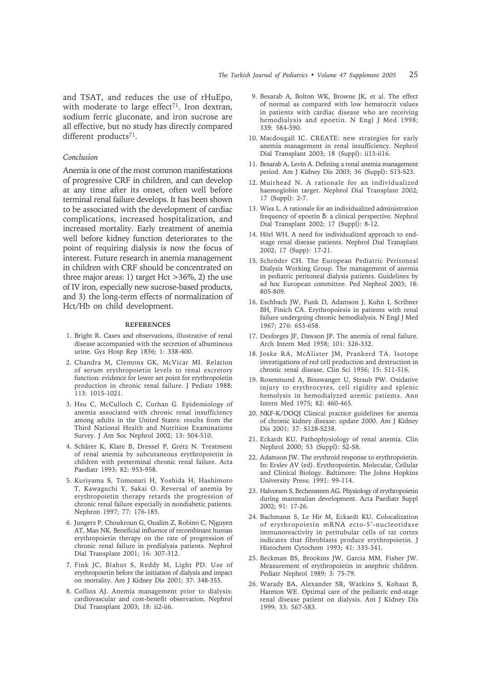and TSAT, and reduces the use of rHuEpo, with moderate to large effect<sup>71</sup>. Iron dextran, sodium ferric gluconate, and iron sucrose are all effective, but no study has directly compared different products<sup>71</sup>.

# *Conclusion*

Anemia is one of the most common manifestations of progressive CRF in children, and can develop at any time after its onset, often well before terminal renal failure develops. It has been shown to be associated with the development of cardiac complications, increased hospitalization, and increased mortality. Early treatment of anemia well before kidney function deteriorates to the point of requiring dialysis is now the focus of interest. Future research in anemia management in children with CRF should be concentrated on three major areas: 1) target Hct  $>$ 36%, 2) the use of IV iron, especially new sucrose-based products, and 3) the long-term effects of normalization of Hct/Hb on child development.

#### **REFERENCES**

- 1. Bright R. Cases and observations, illustrative of renal disease accompanied with the secretion of albuminous urine. Gys Hosp Rep 1836; 1: 338-400.
- 2. Chandra M, Clemons GK, McVicar MI. Relation of serum erythropoietin levels to renal excretory function: evidence for lower set point for erythropoietin production in chronic renal failure. J Pediatr 1988; 113: 1015-1021.
- 3. Hsu C, McCulloch C, Curhan G. Epidemiology of anemia associated with chronic renal insufficiency among adults in the United States: results from the Third National Health and Nutrition Examinations Survey. J Am Soc Nephrol 2002; 13: 504-510.
- 4. Schärer K, Klare B, Dressel P, Gretz N. Treatment of renal anemia by subcutaneous erythropoietin in children with preterminal chronic renal failure. Acta Paediatr 1993; 82: 953-958.
- 5. Kuriyama S, Tomonari H, Yoshida H, Hashimoto T, Kawaguchi Y, Sakai O. Reversal of anemia by erythropoietin therapy retards the progression of chronic renal failure especially in nondiabetic patients. Nephron 1997; 77: 176-185.
- 6. Jungers P, Choukroun G, Oualim Z, Robino C, Njguyen AT, Man NK. Beneficial influence of recombinant human erythropoietin therapy on the rate of progression of chronic renal failure in predialysis patients. Nephrol Dial Transplant 2001; 16: 307-312.
- 7. Fink JC, Blahut S, Reddy M, Light PD. Use of erythropoietin before the initiation of dialysis and impact on mortality. Am J Kidney Dis 2001; 37: 348-355.
- 8. Collins AJ. Anemia management prior to dialysis: cardiovascular and cost-benefit observation. Nephrol Dial Transplant 2003; 18: ii2-ii6.
- 9. Besarab A, Bolton WK, Browne JK, et al. The effect of normal as compared with low hematocrit values in patients with cardiac disease who are receiving hemodialysis and epoetin. N Engl J Med 1998; 339: 584-590.
- 10. Macdougall IC. CREATE: new strategies for early anemia management in renal insufficiency. Nephrol Dial Transplant 2003; 18 (Suppl): ii13-ii16.
- 11. Besarab A, Levin A. Defining a renal anemia management period. Am J Kidney Dis 2003; 36 (Suppl): S13-S23.
- 12. Muirhead N. A rationale for an individualized haemoglobin target. Nephrol Dial Transplant 2002; 17 (Suppl): 2-7.
- 13. Wiss L. A rationale for an individualized administration frequency of epoetin δ: a clinical perspective. Nephrol Dial Transplant 2002; 17 (Suppl): 8-12.
- 14. Hörl WH. A need for individualized approach to endstage renal disease patients. Nephrol Dial Transplant 2002; 17 (Supp): 17-21.
- 15. Schröder CH. The European Pediatric Peritoneal Dialysis Working Group. The management of anemia in pediatric peritoneal dialysis patients. Guidelines by ad hoc European committee. Ped Nephrol 2003; 18: 805-809.
- 16. Eschbach JW, Funk D, Adamson J, Kuhn I, Scribner BH, Finich CA. Erythropoiesis in patients with renal failure undergoing chronic hemodialysis. N Engl J Med 1967; 276: 653-658.
- 17. Desforges JF, Dawson JP. The anemia of renal failure. Arch Intern Med 1958; 101: 326-332.
- 18. Joske RA, McAlister JM, Prankerd TA. Isotope investigations of red cell production and destruction in chronic renal disease. Clin Sci 1956; 15: 511-516.
- 19. Rosenmund A, Binswanger U, Straub PW. Oxidative injury to erythrocytes, cell rigidity and splenic hemolysis in hemodialyzed uremic patients. Ann Intern Med 1975; 82: 460-465.
- 20. NKF-K/DOQI Clinical practice guidelines for anemia of chronic kidney disease: update 2000. Am J Kidney Dis 2001; 37: S128-S238.
- 21. Eckardt KU. Pathophysiology of renal anemia. Clin Nephrol 2000; 53 (Suppl): S2-S8.
- 22. Adamson JW. The erythroid response to erythropoietin. In: Erslev AV (ed). Erythropoietin. Molecular, Cellular and Clinical Biology. Baltimore: The Johns Hopkins University Press; 1991: 99-114.
- 23. Halvorsen S, Bechensteen AG. Physiology of erythropoietin during mammalian development. Acta Paediatr Suppl 2002; 91: 17-26.
- 24. Bachmann S, Le Hir M, Eckardt KU. Colocalization of erythropoietin mRNA ecto-5'-nucleotidase immunoreactivity in peritubular cells of rat cortex indicates that fibroblasts produce erythropoietin. J Histochem Cytochem 1993; 41: 335-341.
- 25. Beckman BS, Brookins JW, Garcia MM, Fisher JW. Measurement of erythropoietin in anephric children. Pediatr Nephrol 1989; 3: 75-79.
- 26. Warady BA, Alexander SR, Watkins S, Kohaut B, Harmon WE. Optimal care of the pediatric end-stage renal disease patient on dialysis. Am J Kidney Dis 1999; 33: 567-583.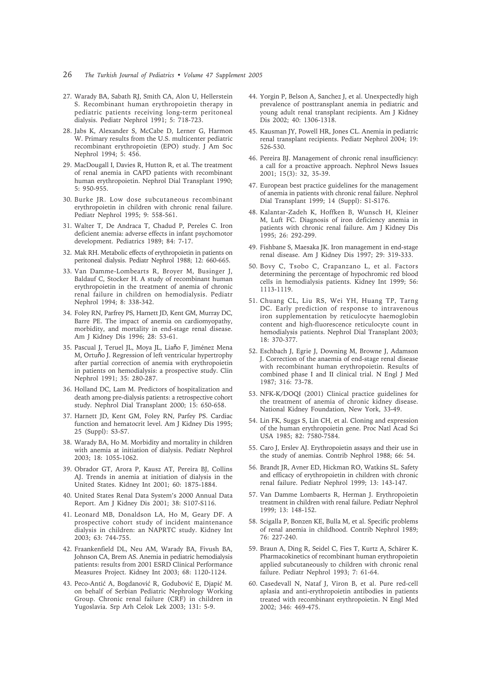- 26 *The Turkish Journal of Pediatrics Volume 47 Supplement 2005*
- 27. Warady BA, Sabath RJ, Smith CA, Alon U, Hellerstein S. Recombinant human erythropoietin therapy in pediatric patients receiving long-term peritoneal dialysis. Pediatr Nephrol 1991; 5: 718-723.
- 28. Jabs K, Alexander S, McCabe D, Lerner G, Harmon W. Primary results from the U.S. multicenter pediatric recombinant erythropoietin (EPO) study. J Am Soc Nephrol 1994; 5: 456.
- 29. MacDougall I, Davies R, Hutton R, et al. The treatment of renal anemia in CAPD patients with recombinant human erythropoietin. Nephrol Dial Transplant 1990; 5: 950-955.
- 30. Burke JR. Low dose subcutaneous recombinant erythropoietin in children with chronic renal failure. Pediatr Nephrol 1995; 9: 558-561.
- 31. Walter T, De Andraca T, Chadud P, Pereles C. Iron deficient anemia: adverse effects in infant psychomotor development. Pediatrics 1989; 84: 7-17.
- 32. Mak RH. Metabolic effects of erythropoietin in patients on peritoneal dialysis. Pediatr Nephrol 1988; 12: 660-665.
- 33. Van Damme-Lombearts R, Broyer M, Businger J, Baldauf C, Stocker H. A study of recombinant human erythropoietin in the treatment of anemia of chronic renal failure in children on hemodialysis. Pediatr Nephrol 1994; 8: 338-342.
- 34. Foley RN, Parfrey PS, Harnett JD, Kent GM, Murray DC, Barre PE. The impact of anemia on cardiomyopathy, morbidity, and mortality in end-stage renal disease. Am J Kidney Dis 1996; 28: 53-61.
- 35. Pascual J, Teruel JL, Moya JL, Liaňo F, Jiménez Mena M, Ortuňo J. Regression of left ventricular hypertrophy after partial correction of anemia with erythropoietin in patients on hemodialysis: a prospective study. Clin Nephrol 1991; 35: 280-287.
- 36. Holland DC, Lam M. Predictors of hospitalization and death among pre-dialysis patients: a retrospective cohort study. Nephrol Dial Transplant 2000; 15: 650-658.
- 37. Harnett JD, Kent GM, Foley RN, Parfey PS. Cardiac function and hematocrit level. Am J Kidney Dis 1995; 25 (Suppl): S3-S7.
- 38. Warady BA, Ho M. Morbidity and mortality in children with anemia at initiation of dialysis. Pediatr Nephrol 2003; 18: 1055-1062.
- 39. Obrador GT, Arora P, Kausz AT, Pereira BJ, Collins AJ. Trends in anemia at initiation of dialysis in the United States. Kidney Int 2001; 60: 1875-1884.
- 40. United States Renal Data System's 2000 Annual Data Report. Am J Kidney Dis 2001; 38: S107-S116.
- 41. Leonard MB, Donaldson LA, Ho M, Geary DF. A prospective cohort study of incident maintenance dialysis in children: an NAPRTC study. Kidney Int 2003; 63: 744-755.
- 42. Fraankenfield DL, Neu AM, Warady BA, Fivush BA, Johnson CA, Brem AS. Anemia in pediatric hemodialysis patients: results from 2001 ESRD Clinical Performance Measures Project. Kidney Int 2003; 68: 1120-1124.
- 43. Peco-Antić A, Bogdanović R, Godubović E, Djapić M. on behalf of Serbian Pediatric Nephrology Working Group. Chronic renal failure (CRF) in children in Yugoslavia. Srp Arh Celok Lek 2003; 131: 5-9.
- 44. Yorgin P, Belson A, Sanchez J, et al. Unexpectedly high prevalence of posttransplant anemia in pediatric and young adult renal transplant recipients. Am J Kidney Dis 2002; 40: 1306-1318.
- 45. Kausman JY, Powell HR, Jones CL. Anemia in pediatric renal transplant recipients. Pediatr Nephrol 2004; 19: 526-530.
- 46. Pereira BJ. Management of chronic renal insufficiency: a call for a proactive approach. Nephrol News Issues 2001; 15(3): 32, 35-39.
- 47. European best practice guidelines for the management of anemia in patients with chronic renal failure. Nephrol Dial Transplant 1999; 14 (Suppl): S1-S176.
- 48. Kalantar-Zadeh K, Hoffken B, Wunsch H, Kleiner M, Luft FC. Diagnosis of iron deficiency anemia in patients with chronic renal failure. Am J Kidney Dis 1995; 26: 292-299.
- 49. Fishbane S, Maesaka JK. Iron management in end-stage renal disease. Am J Kidney Dis 1997; 29: 319-333.
- 50. Bovy C, Tsobo C, Crapanzano L, et al. Factors determining the percentage of hypochromic red blood cells in hemodialysis patients. Kidney Int 1999; 56: 1113-1119.
- 51. Chuang CL, Liu RS, Wei YH, Huang TP, Tarng DC. Early prediction of response to intravenous iron supplementation by reticulocyte haemoglobin content and high-fluorescence reticulocyte count in hemodialysis patients. Nephrol Dial Transplant 2003; 18: 370-377.
- 52. Eschbach J, Egrie J, Downing M, Browne J, Adamson J. Correction of the anaemia of end-stage renal disease with recombinant human erythropoietin. Results of combined phase I and II clinical trial. N Engl J Med 1987; 316: 73-78.
- 53. NFK-K/DOQI (2001) Clinical practice guidelines for the treatment of anemia of chronic kidney disease. National Kidney Foundation, New York, 33-49.
- 54. Lin FK, Suggs S, Lin CH, et al. Cloning and expression of the human erythropoietin gene. Proc Natl Acad Sci USA 1985; 82: 7580-7584.
- 55. Caro J, Erslev AJ. Erythropoietin assays and their use in the study of anemias. Contrib Nephrol 1988; 66: 54.
- 56. Brandt JR, Avner ED, Hickman RO, Watkins SL. Safety and efficacy of erythropoietin in children with chronic renal failure. Pediatr Nephrol 1999; 13: 143-147.
- 57. Van Damme Lombaerts R, Herman J. Erythropoietin treatment in children with renal failure. Pediatr Nephrol 1999; 13: 148-152.
- 58. Scigalla P, Bonzen KE, Bulla M, et al. Specific problems of renal anemia in childhood. Contrib Nephrol 1989; 76: 227-240.
- 59. Braun A, Ding R, Seidel C, Fies T, Kurtz A, Schärer K. Pharmacokinetics of recombinant human erythropoietin applied subcutaneously to children with chronic renal failure. Pediatr Nephrol 1993; 7: 61-64.
- 60. Casedevall N, Nataf J, Viron B, et al. Pure red-cell aplasia and anti-erythropoietin antibodies in patients treated with recombinant erythropoietin. N Engl Med 2002; 346: 469-475.